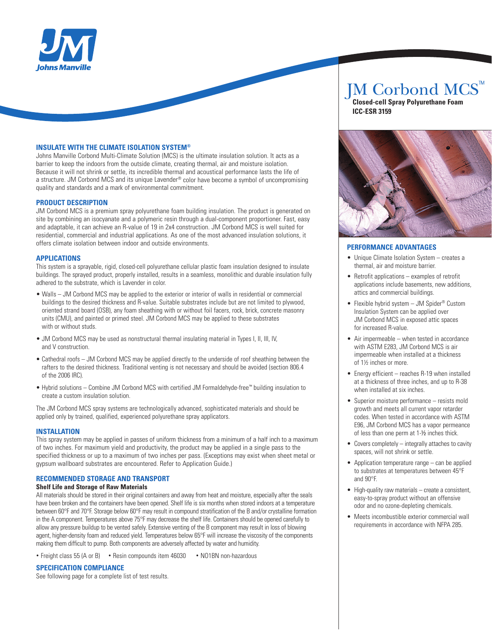

#### **INSULATE WITH THE CLIMATE ISOLATION SYSTEM®**

Johns Manville Corbond Multi-Climate Solution (MCS) is the ultimate insulation solution. It acts as a barrier to keep the indoors from the outside climate, creating thermal, air and moisture isolation. Because it will not shrink or settle, its incredible thermal and acoustical performance lasts the life of a structure. JM Corbond MCS and its unique Lavender® color have become a symbol of uncompromising quality and standards and a mark of environmental commitment.

#### **PRODUCT DESCRIPTION**

JM Corbond MCS is a premium spray polyurethane foam building insulation. The product is generated on site by combining an isocyanate and a polymeric resin through a dual-component proportioner. Fast, easy and adaptable, it can achieve an R-value of 19 in 2x4 construction. JM Corbond MCS is well suited for residential, commercial and industrial applications. As one of the most advanced insulation solutions, it offers climate isolation between indoor and outside environments.

#### **Applications**

This system is a sprayable, rigid, closed-cell polyurethane cellular plastic foam insulation designed to insulate buildings. The sprayed product, properly installed, results in a seamless, monolithic and durable insulation fully adhered to the substrate, which is Lavender in color.

- Walls JM Corbond MCS may be applied to the exterior or interior of walls in residential or commercial buildings to the desired thickness and R-value. Suitable substrates include but are not limited to plywood, oriented strand board (OSB), any foam sheathing with or without foil facers, rock, brick, concrete masonry units (CMU), and painted or primed steel. JM Corbond MCS may be applied to these substrates with or without studs.
- JM Corbond MCS may be used as nonstructural thermal insulating material in Types I, II, III, IV, and V construction.
- Cathedral roofs JM Corbond MCS may be applied directly to the underside of roof sheathing between the rafters to the desired thickness. Traditional venting is not necessary and should be avoided (section 806.4 of the 2006 IRC).
- Hybrid solutions Combine JM Corbond MCS with certified JM Formaldehyde-free™ building insulation to create a custom insulation solution.

The JM Corbond MCS spray systems are technologically advanced, sophisticated materials and should be applied only by trained, qualified, experienced polyurethane spray applicators.

#### **INSTALLATION**

This spray system may be applied in passes of uniform thickness from a minimum of a half inch to a maximum of two inches. For maximum yield and productivity, the product may be applied in a single pass to the specified thickness or up to a maximum of two inches per pass. (Exceptions may exist when sheet metal or gypsum wallboard substrates are encountered. Refer to Application Guide.)

#### **RECOMMENDED STORAGE AND TRANSPORT Shelf Life and Storage of Raw Materials**

All materials should be stored in their original containers and away from heat and moisture, especially after the seals have been broken and the containers have been opened. Shelf life is six months when stored indoors at a temperature between 60°F and 70°F. Storage below 60°F may result in compound stratification of the B and/or crystalline formation in the A component. Temperatures above 75°F may decrease the shelf life. Containers should be opened carefully to allow any pressure buildup to be vented safely. Extensive venting of the B component may result in loss of blowing agent, higher-density foam and reduced yield. Temperatures below 65°F will increase the viscosity of the components making them difficult to pump. Both components are adversely affected by water and humidity.

• Freight class 55 (A or B) • Resin compounds item 46030 • NO1BN non-hazardous

#### **SPECIFICATION COMPLIANCE**

See following page for a complete list of test results.

# JM Corbond MCS™

 **Closed-cell Spray Polyurethane Foam ICC-ESR 3159**



#### **Performance Advantages**

- Unique Climate Isolation System creates a thermal, air and moisture barrier.
- $\bullet$  Retrofit applications examples of retrofit applications include basements, new additions, attics and commercial buildings.
- Flexible hybrid system  $-$  JM Spider<sup>®</sup> Custom Insulation System can be applied over JM Corbond MCS in exposed attic spaces for increased R-value.
- $\bullet$  Air impermeable when tested in accordance with ASTM E283, JM Corbond MCS is air impermeable when installed at a thickness of 1½ inches or more.
- $\bullet$  Energy efficient reaches R-19 when installed at a thickness of three inches, and up to R-38 when installed at six inches.
- Superior moisture performance resists mold growth and meets all current vapor retarder codes. When tested in accordance with ASTM E96, JM Corbond MCS has a vapor permeance of less than one perm at 1-½ inches thick.
- $\bullet$  Covers completely integrally attaches to cavity spaces, will not shrink or settle.
- $\bullet$  Application temperature range can be applied to substrates at temperatures between 45°F and 90°F.
- High-quality raw materials create a consistent, easy-to-spray product without an offensive odor and no ozone-depleting chemicals.
- Meets incombustible exterior commercial wall requirements in accordance with NFPA 285.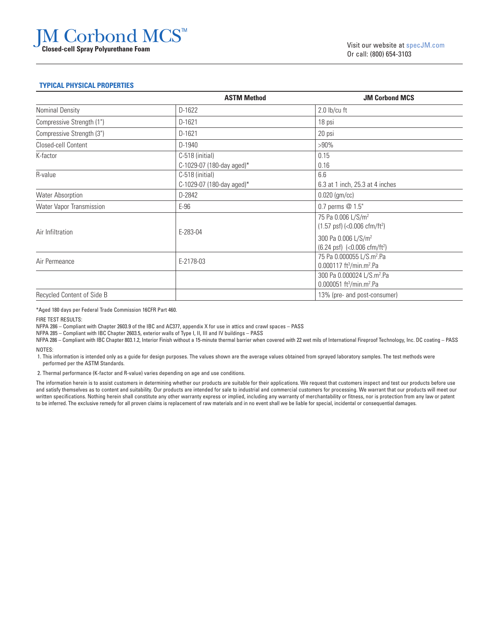# JM Corbond MCS™ **Closed-cell Spray Polyurethane Foam**

#### **Typical Physical Properties**

|                            | <b>ASTM Method</b>                           | <b>JM Corbond MCS</b>                                                                       |
|----------------------------|----------------------------------------------|---------------------------------------------------------------------------------------------|
| Nominal Density            | D-1622                                       | $2.0$ lb/cu ft                                                                              |
| Compressive Strength (1")  | D-1621                                       | 18 psi                                                                                      |
| Compressive Strength (3")  | D-1621                                       | 20 psi                                                                                      |
| Closed-cell Content        | D-1940                                       | $>90\%$                                                                                     |
| K-factor                   | C-518 (initial)<br>C-1029-07 (180-day aged)* | 0.15<br>0.16                                                                                |
| R-value                    | C-518 (initial)<br>C-1029-07 (180-day aged)* | 6.6<br>6.3 at 1 inch, 25.3 at 4 inches                                                      |
| <b>Water Absorption</b>    | D-2842                                       | $0.020$ (gm/cc)                                                                             |
| Water Vapor Transmission   | $E-96$                                       | 0.7 perms @ 1.5"                                                                            |
| Air Infiltration           | E-283-04                                     | 75 Pa 0.006 L/S/m <sup>2</sup><br>$(1.57 \text{ psf})$ (<0.006 cfm/ft <sup>2</sup> )        |
|                            |                                              | 300 Pa 0.006 L/S/m <sup>2</sup><br>$(6.24 \text{ psf})$ $(<0.006 \text{ cfm/ft}^2)$         |
| Air Permeance              | E-2178-03                                    | 75 Pa 0.000055 L/S.m <sup>2</sup> .Pa<br>$0.000117$ ft <sup>3</sup> /min.m <sup>2</sup> .Pa |
|                            |                                              | 300 Pa 0.000024 L/S.m <sup>2</sup> .Pa<br>0.000051 ft <sup>3</sup> /min.m <sup>2</sup> .Pa  |
| Recycled Content of Side B |                                              | 13% (pre- and post-consumer)                                                                |

\*Aged 180 days per Federal Trade Commission 16CFR Part 460.

FIRE TEST RESULTS:

NFPA 286 – Compliant with Chapter 2603.9 of the IBC and AC377, appendix X for use in attics and crawl spaces – PASS

NFPA 285 – Compliant with IBC Chapter 2603.5, exterior walls of Type I, II, III and IV buildings – PASS

NFPA 286 – Compliant with IBC Chapter 803.1.2, Interior Finish without a 15-minute thermal barrier when covered with 22 wet mils of International Fireproof Technology, Inc. DC coating – PASS NOTES:

 1. This information is intended only as a guide for design purposes. The values shown are the average values obtained from sprayed laboratory samples. The test methods were performed per the ASTM Standards.

2. Thermal performance (K-factor and R-value) varies depending on age and use conditions.

The information herein is to assist customers in determining whether our products are suitable for their applications. We request that customers inspect and test our products before use and satisfy themselves as to content and suitability. Our products are intended for sale to industrial and commercial customers for processing. We warrant that our products will meet our written specifications. Nothing herein shall constitute any other warranty express or implied, including any warranty of merchantability or fitness, nor is protection from any law or patent to be inferred. The exclusive remedy for all proven claims is replacement of raw materials and in no event shall we be liable for special, incidental or consequential damages.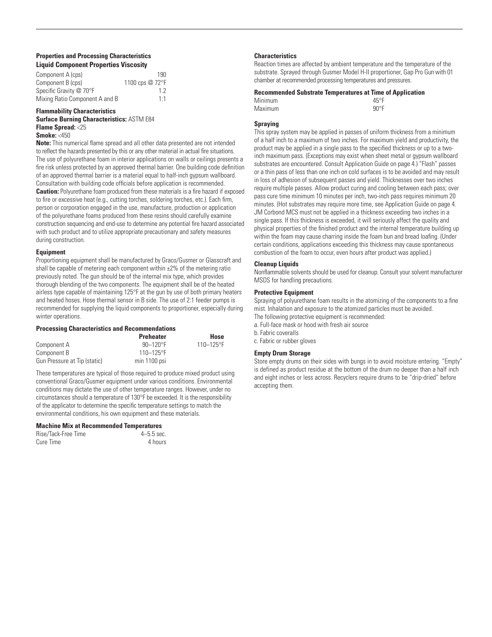#### **Properties and Processing Characteristics Liquid Component Properties Viscosity**

| Component A (cps)              | 190             |
|--------------------------------|-----------------|
| Component B (cps)              | 1100 cps @ 72°F |
| Specific Gravity @ 70°F        | 12              |
| Mixing Ratio Component A and B | 1:1             |

#### **Flammability Characteristics**

### **Surface Burning Characteristics:** ASTM E84 **Flame Spread:** <25

**Smoke:** <450

**Note:** This numerical flame spread and all other data presented are not intended to reflect the hazards presented by this or any other material in actual fire situations. The use of polyurethane foam in interior applications on walls or ceilings presents a fire risk unless protected by an approved thermal barrier. One building code definition of an approved thermal barrier is a material equal to half-inch gypsum wallboard. Consultation with building code officials before application is recommended. **Caution:** Polyurethane foam produced from these materials is a fire hazard if exposed to fire or excessive heat (e.g., cutting torches, soldering torches, etc.). Each firm, person or corporation engaged in the use, manufacture, production or application of the polyurethane foams produced from these resins should carefully examine construction sequencing and end-use to determine any potential fire hazard associated with such product and to utilize appropriate precautionary and safety measures during construction.

#### **Equipment**

Proportioning equipment shall be manufactured by Graco/Gusmer or Glasscraft and shall be capable of metering each component within  $\pm 2\%$  of the metering ratio previously noted. The gun should be of the internal mix type, which provides thorough blending of the two components. The equipment shall be of the heated airless type capable of maintaining 125°F at the gun by use of both primary heaters and heated hoses. Hose thermal sensor in B side. The use of 2:1 feeder pumps is recommended for supplying the liquid components to proportioner, especially during winter operations.

#### **Processing Characteristics and Recommendations**

|                              | <b>Preheater</b> | Hose           |
|------------------------------|------------------|----------------|
| Component A                  | $90 - 120$ °F    | $110 - 125$ °F |
| Component B                  | $110 - 125$ °F   |                |
| Gun Pressure at Tip (static) | min 1100 psi     |                |

These temperatures are typical of those required to produce mixed product using conventional Graco/Gusmer equipment under various conditions. Environmental conditions may dictate the use of other temperature ranges. However, under no circumstances should a temperature of 130°F be exceeded. It is the responsibility of the applicator to determine the specific temperature settings to match the environmental conditions, his own equipment and these materials.

#### **Machine Mix at Recommended Temperatures**

| Rise/Tack-Free Time | $4 - 5.5$ sec. |
|---------------------|----------------|
| Cure Time           | 4 hours        |

#### **Characteristics**

Reaction times are affected by ambient temperature and the temperature of the substrate. Sprayed through Gusmer Model H-II proportioner, Gap Pro Gun with 01 chamber at recommended processing temperatures and pressures.

#### **Recommended Substrate Temperatures at Time of Application**

| Minimum | $45^{\circ}$ F |
|---------|----------------|
| Maximum | $90^{\circ}$ F |

#### **Spraying**

This spray system may be applied in passes of uniform thickness from a minimum of a half inch to a maximum of two inches. For maximum yield and productivity, the product may be applied in a single pass to the specified thickness or up to a twoinch maximum pass. (Exceptions may exist when sheet metal or gypsum wallboard substrates are encountered. Consult Application Guide on page 4.) "Flash" passes or a thin pass of less than one inch on cold surfaces is to be avoided and may result in loss of adhesion of subsequent passes and yield. Thicknesses over two inches require multiple passes. Allow product curing and cooling between each pass; over pass cure time minimum 10 minutes per inch, two-inch pass requires minimum 20 minutes. (Hot substrates may require more time, see Application Guide on page 4. JM Corbond MCS must not be applied in a thickness exceeding two inches in a single pass. If this thickness is exceeded, it will seriously affect the quality and physical properties of the finished product and the internal temperature building up within the foam may cause charring inside the foam bun and bread loafing. (Under certain conditions, applications exceeding this thickness may cause spontaneous combustion of the foam to occur, even hours after product was applied.)

#### **Cleanup Liquids**

Nonflammable solvents should be used for cleanup. Consult your solvent manufacturer MSDS for handling precautions.

#### **Protective Equipment**

Spraying of polyurethane foam results in the atomizing of the components to a fine mist. Inhalation and exposure to the atomized particles must be avoided. The following protective equipment is recommended:

a. Full-face mask or hood with fresh air source

b. Fabric coveralls

c. Fabric or rubber gloves

#### **Empty Drum Storage**

Store empty drums on their sides with bungs in to avoid moisture entering. "Empty" is defined as product residue at the bottom of the drum no deeper than a half inch and eight inches or less across. Recyclers require drums to be "drip-dried" before accepting them.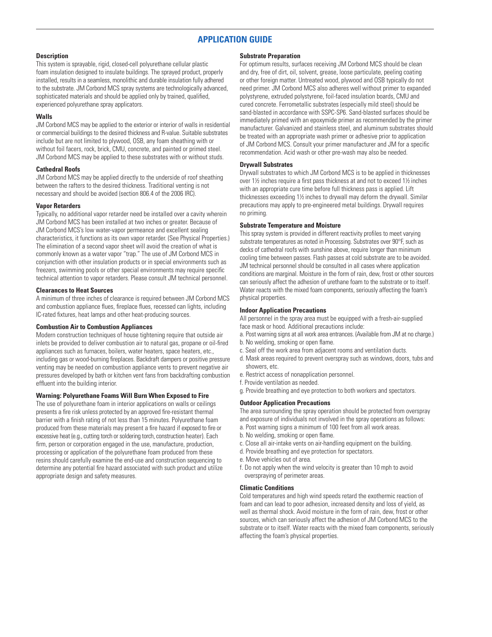## **APPLICATION GUIDE**

#### **Description**

This system is sprayable, rigid, closed-cell polyurethane cellular plastic foam insulation designed to insulate buildings. The sprayed product, properly installed, results in a seamless, monolithic and durable insulation fully adhered to the substrate. JM Corbond MCS spray systems are technologically advanced, sophisticated materials and should be applied only by trained, qualified, experienced polyurethane spray applicators.

#### **Walls**

JM Corbond MCS may be applied to the exterior or interior of walls in residential or commercial buildings to the desired thickness and R-value. Suitable substrates include but are not limited to plywood, OSB, any foam sheathing with or without foil facers, rock, brick, CMU, concrete, and painted or primed steel. JM Corbond MCS may be applied to these substrates with or without studs.

#### **Cathedral Roofs**

JM Corbond MCS may be applied directly to the underside of roof sheathing between the rafters to the desired thickness. Traditional venting is not necessary and should be avoided (section 806.4 of the 2006 IRC).

#### **Vapor Retarders**

Typically, no additional vapor retarder need be installed over a cavity wherein JM Corbond MCS has been installed at two inches or greater. Because of JM Corbond MCS's low water-vapor permeance and excellent sealing characteristics, it functions as its own vapor retarder. (See Physical Properties.) The elimination of a second vapor sheet will avoid the creation of what is commonly known as a water vapor "trap." The use of JM Corbond MCS in conjunction with other insulation products or in special environments such as freezers, swimming pools or other special environments may require specific technical attention to vapor retarders. Please consult JM technical personnel.

#### **Clearances to Heat Sources**

A minimum of three inches of clearance is required between JM Corbond MCS and combustion appliance flues, fireplace flues, recessed can lights, including IC-rated fixtures, heat lamps and other heat-producing sources.

#### **Combustion Air to Combustion Appliances**

Modern construction techniques of house tightening require that outside air inlets be provided to deliver combustion air to natural gas, propane or oil-fired appliances such as furnaces, boilers, water heaters, space heaters, etc., including gas or wood-burning fireplaces. Backdraft dampers or positive pressure venting may be needed on combustion appliance vents to prevent negative air pressures developed by bath or kitchen vent fans from backdrafting combustion effluent into the building interior.

#### **Warning: Polyurethane Foams Will Burn When Exposed to Fire**

The use of polyurethane foam in interior applications on walls or ceilings presents a fire risk unless protected by an approved fire-resistant thermal barrier with a finish rating of not less than 15 minutes. Polyurethane foam produced from these materials may present a fire hazard if exposed to fire or excessive heat (e.g., cutting torch or soldering torch, construction heater). Each firm, person or corporation engaged in the use, manufacture, production, processing or application of the polyurethane foam produced from these resins should carefully examine the end-use and construction sequencing to determine any potential fire hazard associated with such product and utilize appropriate design and safety measures.

#### **Substrate Preparation**

For optimum results, surfaces receiving JM Corbond MCS should be clean and dry, free of dirt, oil, solvent, grease, loose particulate, peeling coating or other foreign matter. Untreated wood, plywood and OSB typically do not need primer. JM Corbond MCS also adheres well without primer to expanded polystyrene, extruded polystyrene, foil-faced insulation boards, CMU and cured concrete. Ferrometallic substrates (especially mild steel) should be sand-blasted in accordance with SSPC-SP6. Sand-blasted surfaces should be immediately primed with an epoxymide primer as recommended by the primer manufacturer. Galvanized and stainless steel, and aluminum substrates should be treated with an appropriate wash primer or adhesive prior to application of JM Corbond MCS. Consult your primer manufacturer and JM for a specific recommendation. Acid wash or other pre-wash may also be needed.

#### **Drywall Substrates**

Drywall substrates to which JM Corbond MCS is to be applied in thicknesses over 1½ inches require a first pass thickness at and not to exceed 1½ inches with an appropriate cure time before full thickness pass is applied. Lift thicknesses exceeding 1½inches to drywall may deform the drywall. Similar precautions may apply to pre-engineered metal buildings. Drywall requires no priming.

#### **Substrate Temperature and Moisture**

This spray system is provided in different reactivity profiles to meet varying substrate temperatures as noted in Processing. Substrates over 90°F, such as decks of cathedral roofs with sunshine above, require longer than minimum cooling time between passes. Flash passes at cold substrate are to be avoided. JM technical personnel should be consulted in all cases where application conditions are marginal. Moisture in the form of rain, dew, frost or other sources can seriously affect the adhesion of urethane foam to the substrate or to itself. Water reacts with the mixed foam components, seriously affecting the foam's physical properties.

#### **Indoor Application Precautions**

All personnel in the spray area must be equipped with a fresh-air-supplied face mask or hood. Additional precautions include:

- a. Post warning signs at all work area entrances. (Available from JM at no charge.) b. No welding, smoking or open flame.
- c. Seal off the work area from adjacent rooms and ventilation ducts.
- d. Mask areas required to prevent overspray such as windows, doors, tubs and showers, etc.
- e. Restrict access of nonapplication personnel.
- f. Provide ventilation as needed.
- g. Provide breathing and eye protection to both workers and spectators.

#### **Outdoor Application Precautions**

The area surrounding the spray operation should be protected from overspray and exposure of individuals not involved in the spray operations as follows: a. Post warning signs a minimum of 100 feet from all work areas.

- b. No welding, smoking or open flame.
- c. Close all air-intake vents on air-handling equipment on the building.
- d. Provide breathing and eye protection for spectators.
- e. Move vehicles out of area.
- f. Do not apply when the wind velocity is greater than 10 mph to avoid overspraying of perimeter areas.

#### **Climatic Conditions**

Cold temperatures and high wind speeds retard the exothermic reaction of foam and can lead to poor adhesion, increased density and loss of yield, as well as thermal shock. Avoid moisture in the form of rain, dew, frost or other sources, which can seriously affect the adhesion of JM Corbond MCS to the substrate or to itself. Water reacts with the mixed foam components, seriously affecting the foam's physical properties.